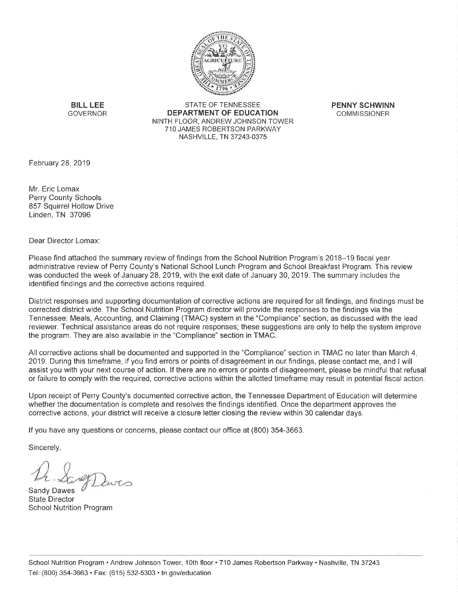

**BILL LEE GOVERNOR** 

**STATE OF TENNESSEE DEPARTMENT OF EDUCATION** NINTH FLOOR. ANDREW JOHNSON TOWER 710 JAMES ROBERTSON PARKWAY NASHVILLE, TN 37243-0375

**PENNY SCHWINN COMMISSIONER** 

February 28, 2019

Mr. Eric Lomax **Perry County Schools** 857 Squirrel Hollow Drive Linden, TN 37096

Dear Director Lomax:

Please find attached the summary review of findings from the School Nutrition Program's 2018–19 fiscal year administrative review of Perry County's National School Lunch Program and School Breakfast Program. This review was conducted the week of January 28, 2019, with the exit date of January 30, 2019. The summary includes the identified findings and the corrective actions required.

District responses and supporting documentation of corrective actions are required for all findings, and findings must be corrected district wide. The School Nutrition Program director will provide the responses to the findings via the Tennessee: Meals, Accounting, and Claiming (TMAC) system in the "Compliance" section, as discussed with the lead reviewer. Technical assistance areas do not require responses; these suggestions are only to help the system improve the program. They are also available in the "Compliance" section in TMAC.

All corrective actions shall be documented and supported in the "Compliance" section in TMAC no later than March 4, 2019. During this timeframe, if you find errors or points of disagreement in our findings, please contact me, and I will assist you with your next course of action. If there are no errors or points of disagreement, please be mindful that refusal or failure to comply with the required, corrective actions within the allotted timeframe may result in potential fiscal action.

Upon receipt of Perry County's documented corrective action, the Tennessee Department of Education will determine whether the documentation is complete and resolves the findings identified. Once the department approves the corrective actions, your district will receive a closure letter closing the review within 30 calendar days.

If you have any questions or concerns, please contact our office at (800) 354-3663.

Sincerely,

Sandy Dawes **State Director** School Nutrition Program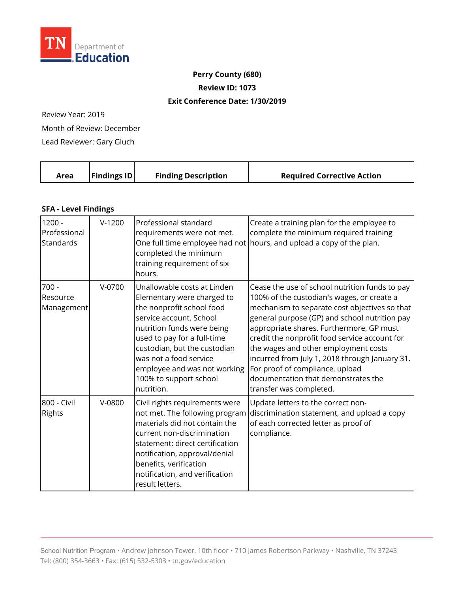

## **Perry County (680)**

**Review ID: 1073** 

## **Exit Conference Date: 1/30/2019**

Review Year: 2019

Month of Review: December

Lead Reviewer: Gary Gluch

|  | <b>Findings ID</b><br>Area | <b>Finding Description</b> | <b>Required Corrective Action</b> |
|--|----------------------------|----------------------------|-----------------------------------|
|--|----------------------------|----------------------------|-----------------------------------|

## **SFA - Level Findings**

| $1200 -$<br>Professional<br>Standards | $V-1200$ | Professional standard<br>requirements were not met.<br>completed the minimum<br>training requirement of six<br>hours.                                                                                                                                                                                            | Create a training plan for the employee to<br>complete the minimum required training<br>One full time employee had not hours, and upload a copy of the plan.                                                                                                                                                                                                                                                                                                                               |
|---------------------------------------|----------|------------------------------------------------------------------------------------------------------------------------------------------------------------------------------------------------------------------------------------------------------------------------------------------------------------------|--------------------------------------------------------------------------------------------------------------------------------------------------------------------------------------------------------------------------------------------------------------------------------------------------------------------------------------------------------------------------------------------------------------------------------------------------------------------------------------------|
| $700 -$<br>Resource<br>Management     | $V-0700$ | Unallowable costs at Linden<br>Elementary were charged to<br>the nonprofit school food<br>service account. School<br>nutrition funds were being<br>used to pay for a full-time<br>custodian, but the custodian<br>was not a food service<br>employee and was not working<br>100% to support school<br>nutrition. | Cease the use of school nutrition funds to pay<br>100% of the custodian's wages, or create a<br>mechanism to separate cost objectives so that<br>general purpose (GP) and school nutrition pay<br>appropriate shares. Furthermore, GP must<br>credit the nonprofit food service account for<br>the wages and other employment costs<br>incurred from July 1, 2018 through January 31.<br>For proof of compliance, upload<br>documentation that demonstrates the<br>transfer was completed. |
| 800 - Civil<br>Rights                 | $V-0800$ | Civil rights requirements were<br>not met. The following program<br>materials did not contain the<br>current non-discrimination<br>statement: direct certification<br>notification, approval/denial<br>benefits, verification<br>notification, and verification<br>result letters.                               | Update letters to the correct non-<br>discrimination statement, and upload a copy<br>of each corrected letter as proof of<br>compliance.                                                                                                                                                                                                                                                                                                                                                   |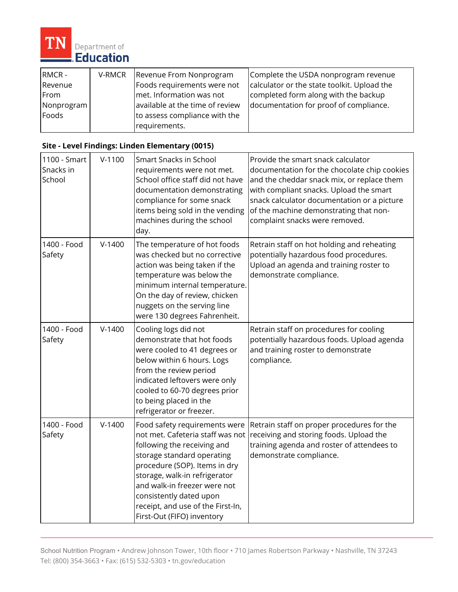

| RMCR-      | V-RMCR | Revenue From Nonprogram         | Complete the USDA nonprogram revenue        |
|------------|--------|---------------------------------|---------------------------------------------|
| Revenue    |        | Foods requirements were not     | calculator or the state toolkit. Upload the |
| From       |        | met. Information was not        | completed form along with the backup        |
| Nonprogram |        | available at the time of review | documentation for proof of compliance.      |
| Foods      |        | to assess compliance with the   |                                             |
|            |        | requirements.                   |                                             |

## **Site - Level Findings: Linden Elementary (0015)**

| 1100 - Smart<br>Snacks in<br>School | $V-1100$ | Smart Snacks in School<br>requirements were not met.<br>School office staff did not have<br>documentation demonstrating<br>compliance for some snack<br>items being sold in the vending<br>machines during the school<br>day.                                                                                                  | Provide the smart snack calculator<br>documentation for the chocolate chip cookies<br>and the cheddar snack mix, or replace them<br>with compliant snacks. Upload the smart<br>snack calculator documentation or a picture<br>of the machine demonstrating that non-<br>complaint snacks were removed. |
|-------------------------------------|----------|--------------------------------------------------------------------------------------------------------------------------------------------------------------------------------------------------------------------------------------------------------------------------------------------------------------------------------|--------------------------------------------------------------------------------------------------------------------------------------------------------------------------------------------------------------------------------------------------------------------------------------------------------|
| 1400 - Food<br>Safety               | $V-1400$ | The temperature of hot foods<br>was checked but no corrective<br>action was being taken if the<br>temperature was below the<br>minimum internal temperature.<br>On the day of review, chicken<br>nuggets on the serving line<br>were 130 degrees Fahrenheit.                                                                   | Retrain staff on hot holding and reheating<br>potentially hazardous food procedures.<br>Upload an agenda and training roster to<br>demonstrate compliance.                                                                                                                                             |
| 1400 - Food<br>Safety               | $V-1400$ | Cooling logs did not<br>demonstrate that hot foods<br>were cooled to 41 degrees or<br>below within 6 hours. Logs<br>from the review period<br>indicated leftovers were only<br>cooled to 60-70 degrees prior<br>to being placed in the<br>refrigerator or freezer.                                                             | Retrain staff on procedures for cooling<br>potentially hazardous foods. Upload agenda<br>and training roster to demonstrate<br>compliance.                                                                                                                                                             |
| 1400 - Food<br>Safety               | $V-1400$ | Food safety requirements were<br>not met. Cafeteria staff was not<br>following the receiving and<br>storage standard operating<br>procedure (SOP). Items in dry<br>storage, walk-in refrigerator<br>and walk-in freezer were not<br>consistently dated upon<br>receipt, and use of the First-In,<br>First-Out (FIFO) inventory | Retrain staff on proper procedures for the<br>receiving and storing foods. Upload the<br>training agenda and roster of attendees to<br>demonstrate compliance.                                                                                                                                         |